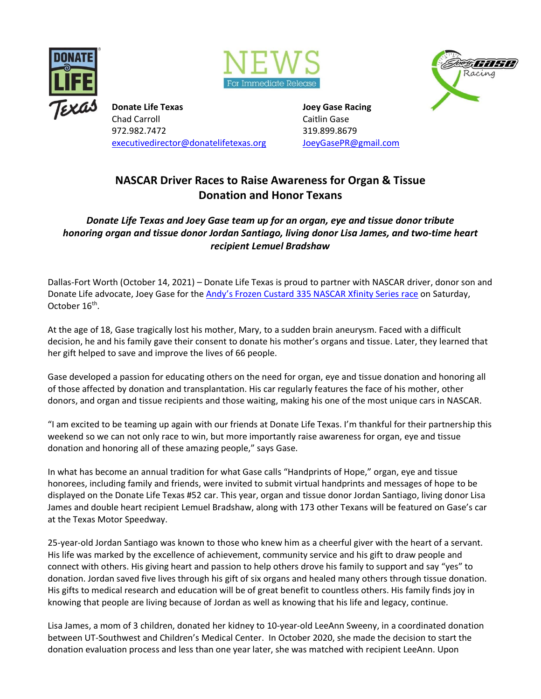





**Donate Life Texas Gase Racing Construction Construction Construction Construction Construction Construction Construction Construction Construction Construction Construction Construction Construction Construction Construct** Chad Carroll **Chad Carroll** Chad Carroll **Chad Carroll** Caitlin Gase 972.982.7472 319.899.8679 [executivedirector@donatelifetexas.org](mailto:executivedirector@donatelifetexas.org) [JoeyGasePR@gmail.com](mailto:JoeyGasePR@gmail.com)

## **NASCAR Driver Races to Raise Awareness for Organ & Tissue Donation and Honor Texans**

*Donate Life Texas and Joey Gase team up for an organ, eye and tissue donor tribute honoring organ and tissue donor Jordan Santiago, living donor Lisa James, and two-time heart recipient Lemuel Bradshaw*

Dallas-Fort Worth (October 14, 2021) – Donate Life Texas is proud to partner with NASCAR driver, donor son and Donate Life advocate, Joey Gase for the [Andy's Frozen Custard 335 NASCAR](https://www.texasmotorspeedway.com/events/andys-frozen-custard-335/) Xfinity Series race on Saturday, October 16<sup>th</sup>.

At the age of 18, Gase tragically lost his mother, Mary, to a sudden brain aneurysm. Faced with a difficult decision, he and his family gave their consent to donate his mother's organs and tissue. Later, they learned that her gift helped to save and improve the lives of 66 people.

Gase developed a passion for educating others on the need for organ, eye and tissue donation and honoring all of those affected by donation and transplantation. His car regularly features the face of his mother, other donors, and organ and tissue recipients and those waiting, making his one of the most unique cars in NASCAR.

"I am excited to be teaming up again with our friends at Donate Life Texas. I'm thankful for their partnership this weekend so we can not only race to win, but more importantly raise awareness for organ, eye and tissue donation and honoring all of these amazing people," says Gase.

In what has become an annual tradition for what Gase calls "Handprints of Hope," organ, eye and tissue honorees, including family and friends, were invited to submit virtual handprints and messages of hope to be displayed on the Donate Life Texas #52 car. This year, organ and tissue donor Jordan Santiago, living donor Lisa James and double heart recipient Lemuel Bradshaw, along with 173 other Texans will be featured on Gase's car at the Texas Motor Speedway.

25-year-old Jordan Santiago was known to those who knew him as a cheerful giver with the heart of a servant. His life was marked by the excellence of achievement, community service and his gift to draw people and connect with others. His giving heart and passion to help others drove his family to support and say "yes" to donation. Jordan saved five lives through his gift of six organs and healed many others through tissue donation. His gifts to medical research and education will be of great benefit to countless others. His family finds joy in knowing that people are living because of Jordan as well as knowing that his life and legacy, continue.

Lisa James, a mom of 3 children, donated her kidney to 10-year-old LeeAnn Sweeny, in a coordinated donation between UT-Southwest and Children's Medical Center. In October 2020, she made the decision to start the donation evaluation process and less than one year later, she was matched with recipient LeeAnn. Upon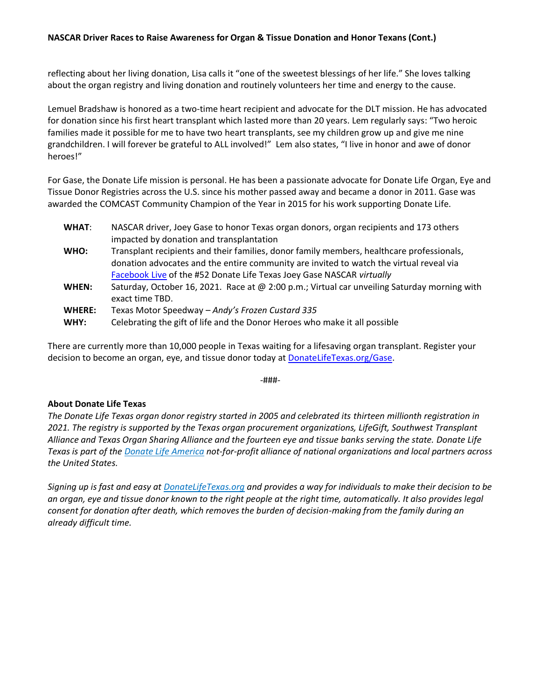## **NASCAR Driver Races to Raise Awareness for Organ & Tissue Donation and Honor Texans (Cont.)**

reflecting about her living donation, Lisa calls it "one of the sweetest blessings of her life." She loves talking about the organ registry and living donation and routinely volunteers her time and energy to the cause.

Lemuel Bradshaw is honored as a two-time heart recipient and advocate for the DLT mission. He has advocated for donation since his first heart transplant which lasted more than 20 years. Lem regularly says: "Two heroic families made it possible for me to have two heart transplants, see my children grow up and give me nine grandchildren. I will forever be grateful to ALL involved!" Lem also states, "I live in honor and awe of donor heroes!"

For Gase, the Donate Life mission is personal. He has been a passionate advocate for Donate Life Organ, Eye and Tissue Donor Registries across the U.S. since his mother passed away and became a donor in 2011. Gase was awarded the COMCAST Community Champion of the Year in 2015 for his work supporting Donate Life.

| <b>WHAT:</b>          | NASCAR driver, Joey Gase to honor Texas organ donors, organ recipients and 173 others<br>impacted by donation and transplantation                                                                                                                             |
|-----------------------|---------------------------------------------------------------------------------------------------------------------------------------------------------------------------------------------------------------------------------------------------------------|
| WHO:                  | Transplant recipients and their families, donor family members, healthcare professionals,<br>donation advocates and the entire community are invited to watch the virtual reveal via<br>Facebook Live of the #52 Donate Life Texas Joey Gase NASCAR virtually |
| WHEN:                 | Saturday, October 16, 2021. Race at @ 2:00 p.m.; Virtual car unveiling Saturday morning with<br>exact time TBD.                                                                                                                                               |
| <b>WHERE:</b><br>WHY: | Texas Motor Speedway - Andy's Frozen Custard 335<br>Celebrating the gift of life and the Donor Heroes who make it all possible                                                                                                                                |

There are currently more than 10,000 people in Texas waiting for a lifesaving organ transplant. Register your decision to become an organ, eye, and tissue donor today at [DonateLifeTexas.org/Gase.](https://www.donatelifetexas.org/Gase)

-###-

## **About Donate Life Texas**

*The Donate Life Texas organ donor registry started in 2005 and celebrated its thirteen millionth registration in 2021. The registry is supported by the Texas organ procurement organizations, LifeGift, Southwest Transplant Alliance and Texas Organ Sharing Alliance and the fourteen eye and tissue banks serving the state. Donate Life Texas is part of the [Donate Life America](https://www.donatelife.net/) not-for-profit alliance of national organizations and local partners across the United States.*

*Signing up is fast and easy at [DonateLifeTexas.org](https://www.donatelifetexas.org/register/) and provides a way for individuals to make their decision to be an organ, eye and tissue donor known to the right people at the right time, automatically. It also provides legal consent for donation after death, which removes the burden of decision-making from the family during an already difficult time.*